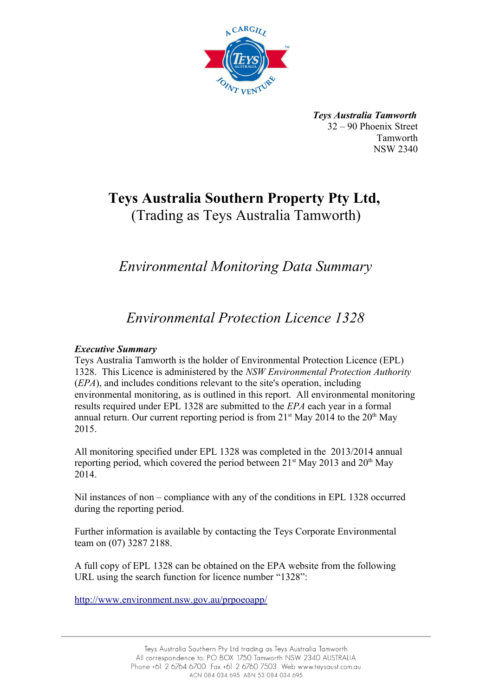

*Teys Australia Tamworth* 32 – 90 Phoenix Street Tamworth NSW 2340

# **Teys Australia Southern Property Pty Ltd,**  (Trading as Teys Australia Tamworth)

# *Environmental Monitoring Data Summary*

# *Environmental Protection Licence 1328*

#### *Executive Summary*

Teys Australia Tamworth is the holder of Environmental Protection Licence (EPL) 1328. This Licence is administered by the *NSW Environmental Protection Authority* (*EPA*), and includes conditions relevant to the site's operation, including environmental monitoring, as is outlined in this report. All environmental monitoring results required under EPL 1328 are submitted to the *EPA* each year in a formal annual return. Our current reporting period is from  $21<sup>st</sup>$  May 2014 to the  $20<sup>th</sup>$  May 2015.

All monitoring specified under EPL 1328 was completed in the 2013/2014 annual reporting period, which covered the period between  $21^{st}$  May 2013 and  $20^{th}$  May 2014.

Nil instances of non – compliance with any of the conditions in EPL 1328 occurred during the reporting period.

Further information is available by contacting the Teys Corporate Environmental team on (07) 3287 2188.

A full copy of EPL 1328 can be obtained on the EPA website from the following URL using the search function for licence number "1328":

<http://www.environment.nsw.gov.au/prpoeoapp/>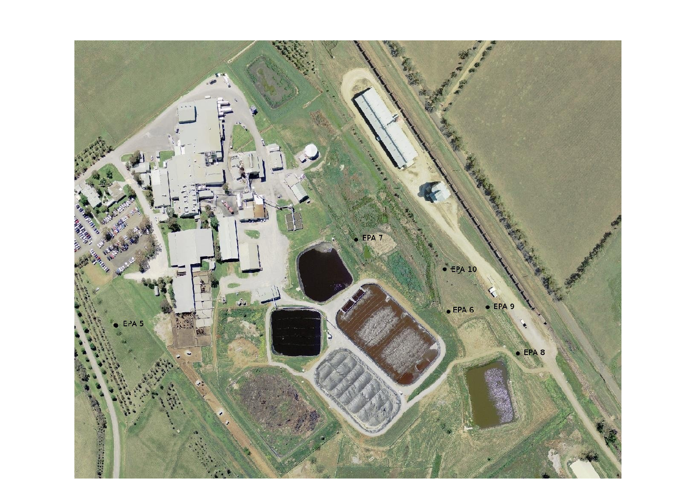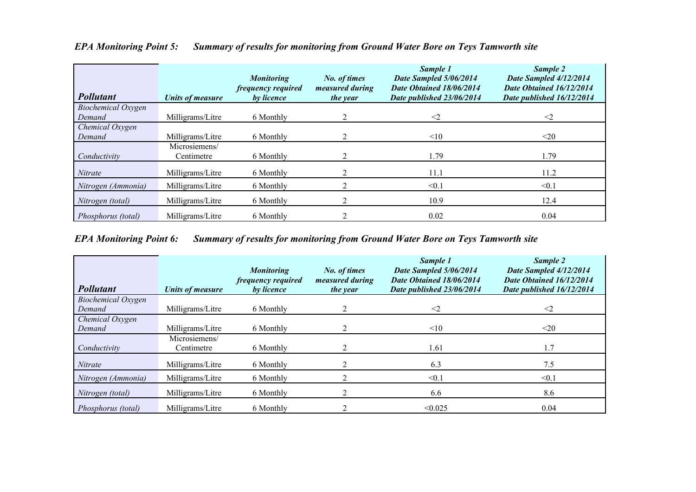| <b>Pollutant</b>          | <b>Units of measure</b>     | <b>Monitoring</b><br>frequency required<br>by licence | No. of times<br>measured during<br><i>the year</i> | Sample 1<br>Date Sampled 5/06/2014<br>Date Obtained 18/06/2014<br>Date published 23/06/2014 | Sample 2<br>Date Sampled 4/12/2014<br>Date Obtained 16/12/2014<br>Date published 16/12/2014 |
|---------------------------|-----------------------------|-------------------------------------------------------|----------------------------------------------------|---------------------------------------------------------------------------------------------|---------------------------------------------------------------------------------------------|
| Biochemical Oxygen        |                             |                                                       |                                                    |                                                                                             |                                                                                             |
| Demand                    | Milligrams/Litre            | 6 Monthly                                             | 2                                                  | $\leq$ 2                                                                                    | $\leq$                                                                                      |
| Chemical Oxygen<br>Demand | Milligrams/Litre            | 6 Monthly                                             |                                                    | <10                                                                                         | $20$                                                                                        |
| Conductivity              | Microsiemens/<br>Centimetre | 6 Monthly                                             |                                                    | 1.79                                                                                        | 1.79                                                                                        |
| Nitrate                   | Milligrams/Litre            | 6 Monthly                                             |                                                    | 11.1                                                                                        | 11.2                                                                                        |
| Nitrogen (Ammonia)        | Milligrams/Litre            | 6 Monthly                                             | $\overline{\mathbf{c}}$                            | < 0.1                                                                                       | < 0.1                                                                                       |
| Nitrogen (total)          | Milligrams/Litre            | 6 Monthly                                             | $\mathfrak{D}$                                     | 10.9                                                                                        | 12.4                                                                                        |
| Phosphorus (total)        | Milligrams/Litre            | 6 Monthly                                             |                                                    | 0.02                                                                                        | 0.04                                                                                        |

## *EPA Monitoring Point 5: Summary of results for monitoring from Ground Water Bore on Teys Tamworth site*

*EPA Monitoring Point 6: Summary of results for monitoring from Ground Water Bore on Teys Tamworth site*

| <b>Pollutant</b>   | <b>Units of measure</b>     | <b>Monitoring</b><br>frequency required<br>by licence | No. of times<br>measured during<br><i>the year</i> | Sample 1<br>Date Sampled 5/06/2014<br>Date Obtained 18/06/2014<br>Date published 23/06/2014 | Sample 2<br>Date Sampled 4/12/2014<br>Date Obtained 16/12/2014<br>Date published 16/12/2014 |
|--------------------|-----------------------------|-------------------------------------------------------|----------------------------------------------------|---------------------------------------------------------------------------------------------|---------------------------------------------------------------------------------------------|
| Biochemical Oxygen |                             |                                                       |                                                    |                                                                                             |                                                                                             |
| Demand             | Milligrams/Litre            | 6 Monthly                                             |                                                    | $\leq$ 2                                                                                    | $\leq$ 2                                                                                    |
| Chemical Oxygen    |                             |                                                       |                                                    |                                                                                             |                                                                                             |
| Demand             | Milligrams/Litre            | 6 Monthly                                             |                                                    | <10                                                                                         | $20$                                                                                        |
| Conductivity       | Microsiemens/<br>Centimetre | 6 Monthly                                             |                                                    | 1.61                                                                                        | 1.7                                                                                         |
| Nitrate            | Milligrams/Litre            | 6 Monthly                                             |                                                    | 6.3                                                                                         | 7.5                                                                                         |
| Nitrogen (Ammonia) | Milligrams/Litre            | 6 Monthly                                             |                                                    | < 0.1                                                                                       | < 0.1                                                                                       |
| Nitrogen (total)   | Milligrams/Litre            | 6 Monthly                                             |                                                    | 6.6                                                                                         | 8.6                                                                                         |
| Phosphorus (total) | Milligrams/Litre            | 6 Monthly                                             |                                                    | < 0.025                                                                                     | 0.04                                                                                        |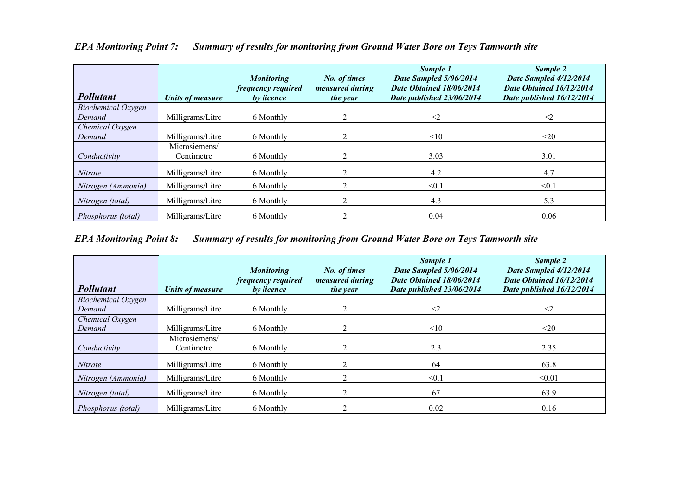| <b>Pollutant</b>          | <b>Units of measure</b>     | <b>Monitoring</b><br>frequency required<br>by licence | No. of times<br><i>measured during</i><br>the year | Sample 1<br>Date Sampled 5/06/2014<br>Date Obtained 18/06/2014<br>Date published 23/06/2014 | Sample 2<br>Date Sampled 4/12/2014<br>Date Obtained 16/12/2014<br>Date published 16/12/2014 |
|---------------------------|-----------------------------|-------------------------------------------------------|----------------------------------------------------|---------------------------------------------------------------------------------------------|---------------------------------------------------------------------------------------------|
| Biochemical Oxygen        |                             |                                                       | 2                                                  |                                                                                             |                                                                                             |
| Demand                    | Milligrams/Litre            | 6 Monthly                                             |                                                    | $\leq$ 2                                                                                    | $\leq$ 2                                                                                    |
| Chemical Oxygen<br>Demand | Milligrams/Litre            | 6 Monthly                                             |                                                    | <10                                                                                         | $\leq$ 20                                                                                   |
| Conductivity              | Microsiemens/<br>Centimetre | 6 Monthly                                             |                                                    | 3.03                                                                                        | 3.01                                                                                        |
| Nitrate                   | Milligrams/Litre            | 6 Monthly                                             |                                                    | 4.2                                                                                         | 4.7                                                                                         |
| Nitrogen (Ammonia)        | Milligrams/Litre            | 6 Monthly                                             |                                                    | < 0.1                                                                                       | < 0.1                                                                                       |
| Nitrogen (total)          | Milligrams/Litre            | 6 Monthly                                             |                                                    | 4.3                                                                                         | 5.3                                                                                         |
| Phosphorus (total)        | Milligrams/Litre            | 6 Monthly                                             |                                                    | 0.04                                                                                        | 0.06                                                                                        |

## *EPA Monitoring Point 7: Summary of results for monitoring from Ground Water Bore on Teys Tamworth site*

*EPA Monitoring Point 8: Summary of results for monitoring from Ground Water Bore on Teys Tamworth site*

| <b>Pollutant</b>          | <b>Units of measure</b>     | <b>Monitoring</b><br>frequency required<br>by licence | No. of times<br>measured during<br>the year | Sample 1<br>Date Sampled 5/06/2014<br>Date Obtained 18/06/2014<br>Date published 23/06/2014 | Sample 2<br>Date Sampled 4/12/2014<br>Date Obtained 16/12/2014<br>Date published 16/12/2014 |
|---------------------------|-----------------------------|-------------------------------------------------------|---------------------------------------------|---------------------------------------------------------------------------------------------|---------------------------------------------------------------------------------------------|
| <b>Biochemical Oxygen</b> |                             |                                                       |                                             |                                                                                             |                                                                                             |
| Demand                    | Milligrams/Litre            | 6 Monthly                                             |                                             | $\leq$ 2                                                                                    | $\leq$ 2                                                                                    |
| Chemical Oxygen           |                             |                                                       |                                             |                                                                                             |                                                                                             |
| Demand                    | Milligrams/Litre            | 6 Monthly                                             |                                             | <10                                                                                         | $20$                                                                                        |
| Conductivity              | Microsiemens/<br>Centimetre | 6 Monthly                                             |                                             | 2.3                                                                                         | 2.35                                                                                        |
| Nitrate                   | Milligrams/Litre            | 6 Monthly                                             |                                             | 64                                                                                          | 63.8                                                                                        |
| Nitrogen (Ammonia)        | Milligrams/Litre            | 6 Monthly                                             |                                             | $\leq 0.1$                                                                                  | < 0.01                                                                                      |
| Nitrogen (total)          | Milligrams/Litre            | 6 Monthly                                             |                                             | 67                                                                                          | 63.9                                                                                        |
| Phosphorus (total)        | Milligrams/Litre            | 6 Monthly                                             |                                             | 0.02                                                                                        | 0.16                                                                                        |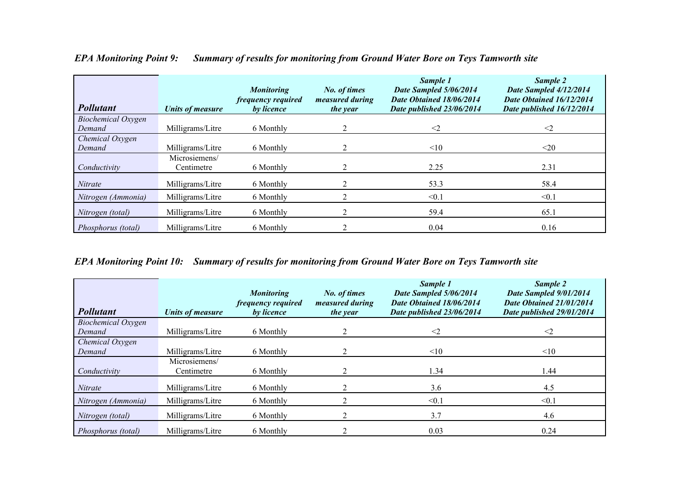| <b>Pollutant</b>   | <b>Units of measure</b>     | <b>Monitoring</b><br>frequency required<br>by licence | No. of times<br>measured during<br><i>the year</i> | Sample 1<br>Date Sampled 5/06/2014<br>Date Obtained 18/06/2014<br>Date published 23/06/2014 | Sample 2<br>Date Sampled 4/12/2014<br>Date Obtained 16/12/2014<br>Date published 16/12/2014 |
|--------------------|-----------------------------|-------------------------------------------------------|----------------------------------------------------|---------------------------------------------------------------------------------------------|---------------------------------------------------------------------------------------------|
| Biochemical Oxygen |                             |                                                       |                                                    |                                                                                             |                                                                                             |
| Demand             | Milligrams/Litre            | 6 Monthly                                             |                                                    | $\leq$ 2                                                                                    | $\leq$ 2                                                                                    |
| Chemical Oxygen    |                             |                                                       |                                                    |                                                                                             |                                                                                             |
| Demand             | Milligrams/Litre            | 6 Monthly                                             |                                                    | <10                                                                                         | $20$                                                                                        |
| Conductivity       | Microsiemens/<br>Centimetre | 6 Monthly                                             |                                                    | 2.25                                                                                        | 2.31                                                                                        |
| Nitrate            | Milligrams/Litre            | 6 Monthly                                             |                                                    | 53.3                                                                                        | 58.4                                                                                        |
| Nitrogen (Ammonia) | Milligrams/Litre            | 6 Monthly                                             |                                                    | < 0.1                                                                                       | $\leq 0.1$                                                                                  |
| Nitrogen (total)   | Milligrams/Litre            | 6 Monthly                                             |                                                    | 59.4                                                                                        | 65.1                                                                                        |
| Phosphorus (total) | Milligrams/Litre            | 6 Monthly                                             |                                                    | 0.04                                                                                        | 0.16                                                                                        |

### *EPA Monitoring Point 9: Summary of results for monitoring from Ground Water Bore on Teys Tamworth site*

*EPA Monitoring Point 10: Summary of results for monitoring from Ground Water Bore on Teys Tamworth site*

| <b>Pollutant</b>          | Units of measure            | <b>Monitoring</b><br>frequency required<br>by licence | No. of times<br>measured during<br><i>the year</i> | Sample 1<br>Date Sampled 5/06/2014<br>Date Obtained 18/06/2014<br>Date published 23/06/2014 | Sample 2<br>Date Sampled 9/01/2014<br>Date Obtained 21/01/2014<br>Date published 29/01/2014 |
|---------------------------|-----------------------------|-------------------------------------------------------|----------------------------------------------------|---------------------------------------------------------------------------------------------|---------------------------------------------------------------------------------------------|
| <b>Biochemical Oxygen</b> |                             |                                                       |                                                    |                                                                                             |                                                                                             |
| Demand                    | Milligrams/Litre            | 6 Monthly                                             |                                                    | $\leq$ 2                                                                                    | $\leq$ 2                                                                                    |
| Chemical Oxygen           |                             |                                                       |                                                    |                                                                                             |                                                                                             |
| Demand                    | Milligrams/Litre            | 6 Monthly                                             |                                                    | <10                                                                                         | <10                                                                                         |
| Conductivity              | Microsiemens/<br>Centimetre | 6 Monthly                                             |                                                    | 1.34                                                                                        | 1.44                                                                                        |
| <b>Nitrate</b>            | Milligrams/Litre            | 6 Monthly                                             |                                                    | 3.6                                                                                         | 4.5                                                                                         |
| Nitrogen (Ammonia)        | Milligrams/Litre            | 6 Monthly                                             |                                                    | < 0.1                                                                                       | < 0.1                                                                                       |
| Nitrogen (total)          | Milligrams/Litre            | 6 Monthly                                             |                                                    | 3.7                                                                                         | 4.6                                                                                         |
| Phosphorus (total)        | Milligrams/Litre            | 6 Monthly                                             |                                                    | 0.03                                                                                        | 0.24                                                                                        |